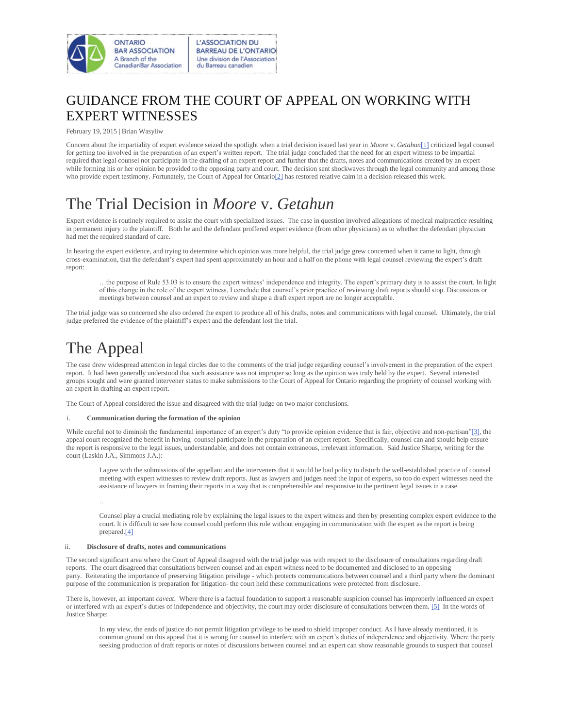

### GUIDANCE FROM THE COURT OF APPEAL ON WORKING WITH EXPERT WITNESSES

February 19, 2015 | Brian Wasyliw

Concern about the impartiality of expert evidence seized the spotlight when a trial decision issued last year in *Moore* v. *Getahun*[\[1\]](http://www.oba.org/Sections/Labour-Employment-Law/Articles/Articles-2015/February-2015/Guidance-from-the-Court-of-Appeal-on-working-with#_ftn1) criticized legal counsel for getting too involved in the preparation of an expert's written report. The trial judge concluded that the need for an expert witness to be impartial required that legal counsel not participate in the drafting of an expert report and further that the drafts, notes and communications created by an expert while forming his or her opinion be provided to the opposing party and court. The decision sent shockwaves through the legal community and among those who provide expert testimony. Fortunately, the Court of Appeal for Ontario<sup>[2]</sup> has restored relative calm in a decision released this week.

### The Trial Decision in *Moore* v. *Getahun*

Expert evidence is routinely required to assist the court with specialized issues. The case in question involved allegations of medical malpractice resulting in permanent injury to the plaintiff. Both he and the defendant proffered expert evidence (from other physicians) as to whether the defendant physician had met the required standard of care.

In hearing the expert evidence, and trying to determine which opinion was more helpful, the trial judge grew concerned when it came to light, through cross-examination, that the defendant's expert had spent approximately an hour and a half on the phone with legal counsel reviewing the expert's draft report:

…the purpose of Rule 53.03 is to ensure the expert witness' independence and integrity. The expert's primary duty is to assist the court. In light of this change in the role of the expert witness, I conclude that counsel's prior practice of reviewing draft reports should stop. Discussions or meetings between counsel and an expert to review and shape a draft expert report are no longer acceptable.

The trial judge was so concerned she also ordered the expert to produce all of his drafts, notes and communications with legal counsel. Ultimately, the trial judge preferred the evidence of the plaintiff's expert and the defendant lost the trial.

## The Appeal

The case drew widespread attention in legal circles due to the comments of the trial judge regarding counsel's involvement in the preparation of the expert report. It had been generally understood that such assistance was not improper so long as the opinion was truly held by the expert. Several interested groups sought and were granted intervener status to make submissions to the Court of Appeal for Ontario regarding the propriety of counsel working with an expert in drafting an expert report.

The Court of Appeal considered the issue and disagreed with the trial judge on two major conclusions.

#### i. **Communication during the formation of the opinion**

While careful not to diminish the fundamental importance of an expert's duty "to provide opinion evidence that is fair, objective and non-partisan["\[3\],](http://www.oba.org/Sections/Labour-Employment-Law/Articles/Articles-2015/February-2015/Guidance-from-the-Court-of-Appeal-on-working-with#_ftn3) the appeal court recognized the benefit in having counsel participate in the preparation of an expert report. Specifically, counsel can and should help ensure the report is responsive to the legal issues, understandable, and does not contain extraneous, irrelevant information. Said Justice Sharpe, writing for the court (Laskin J.A., Simmons J.A.):

I agree with the submissions of the appellant and the interveners that it would be bad policy to disturb the well-established practice of counsel meeting with expert witnesses to review draft reports. Just as lawyers and judges need the input of experts, so too do expert witnesses need the assistance of lawyers in framing their reports in a way that is comprehensible and responsive to the pertinent legal issues in a case.

…

Counsel play a crucial mediating role by explaining the legal issues to the expert witness and then by presenting complex expert evidence to the court. It is difficult to see how counsel could perform this role without engaging in communication with the expert as the report is being prepare[d.\[4\]](http://www.oba.org/Sections/Labour-Employment-Law/Articles/Articles-2015/February-2015/Guidance-from-the-Court-of-Appeal-on-working-with#_ftn4)

#### ii. **Disclosure of drafts, notes and communications**

The second significant area where the Court of Appeal disagreed with the trial judge was with respect to the disclosure of consultations regarding draft reports. The court disagreed that consultations between counsel and an expert witness need to be documented and disclosed to an opposing party. Reiterating the importance of preserving litigation privilege - which protects communications between counsel and a third party where the dominant purpose of the communication is preparation for litigation- the court held these communications were protected from disclosure.

There is, however, an important *caveat*. Where there is a factual foundation to support a reasonable suspicion counsel has improperly influenced an expert or interfered with an expert's duties of independence and objectivity, the court may order disclosure of consultations between them[. \[5\]](http://www.oba.org/Sections/Labour-Employment-Law/Articles/Articles-2015/February-2015/Guidance-from-the-Court-of-Appeal-on-working-with#_ftn5) In the words of Justice Sharpe:

In my view, the ends of justice do not permit litigation privilege to be used to shield improper conduct. As I have already mentioned, it is common ground on this appeal that it is wrong for counsel to interfere with an expert's duties of independence and objectivity. Where the party seeking production of draft reports or notes of discussions between counsel and an expert can show reasonable grounds to suspect that counsel